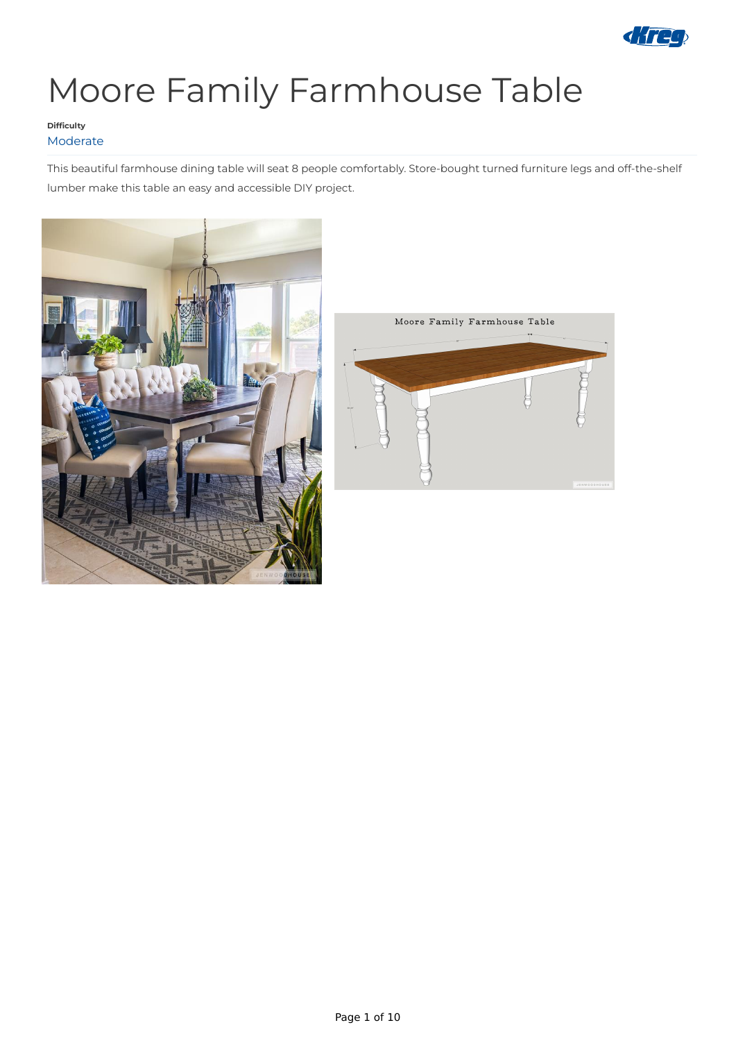

# Moore Family Farmhouse Table

This beautiful farmhouse dining table will seat 8 people comfortably. Store-bought turned furniture legs and off-the-shelf lumber make this table an easy and accessible DIY project.





### **Difficulty** Moderate

Page 1 of 10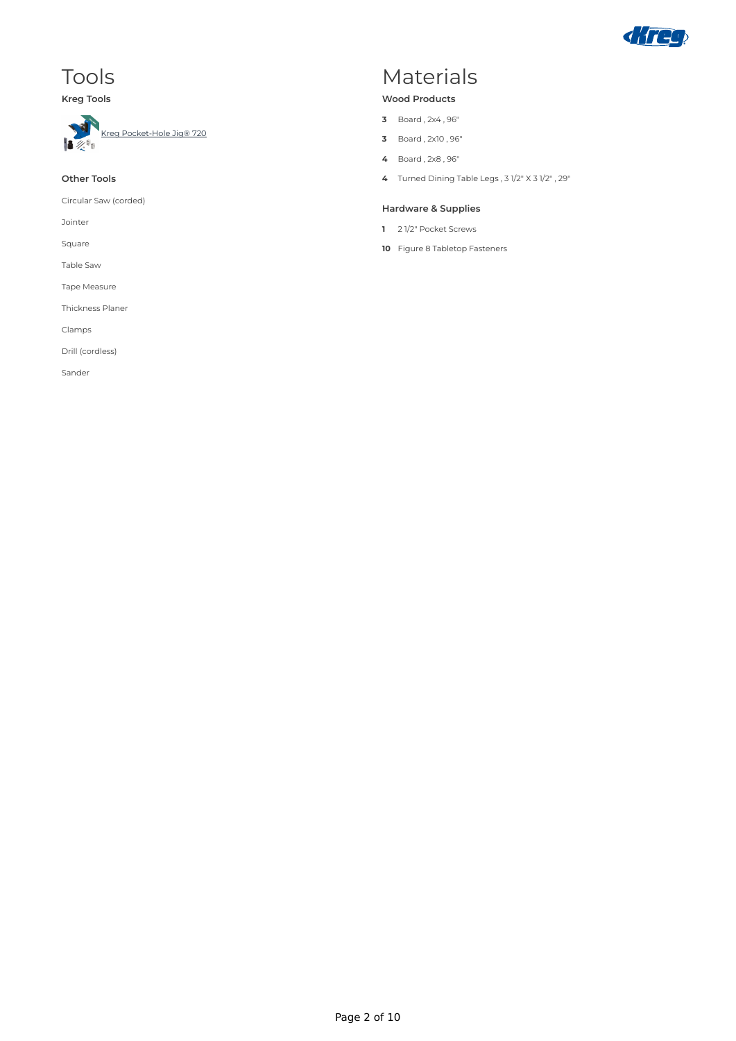

### Tools

### **Kreg Tools**



### **Other Tools**

Circular Saw (corded)

Jointer

Square

Table Saw

Tape Measure

Thickness Planer

Clamps

Drill (cordless)

Sander

### Materials

#### **Wood Products**

- **3** Board , 2x4 , 96"
- **3** Board , 2x10 , 96"
- **4** Board , 2x8 , 96"
- **4** Turned Dining Table Legs , 3 1/2" X 3 1/2" , 29"

#### **Hardware & Supplies**

- **1** 2 1/2" Pocket Screws
- **10** Figure 8 Tabletop Fasteners

Page 2 of 10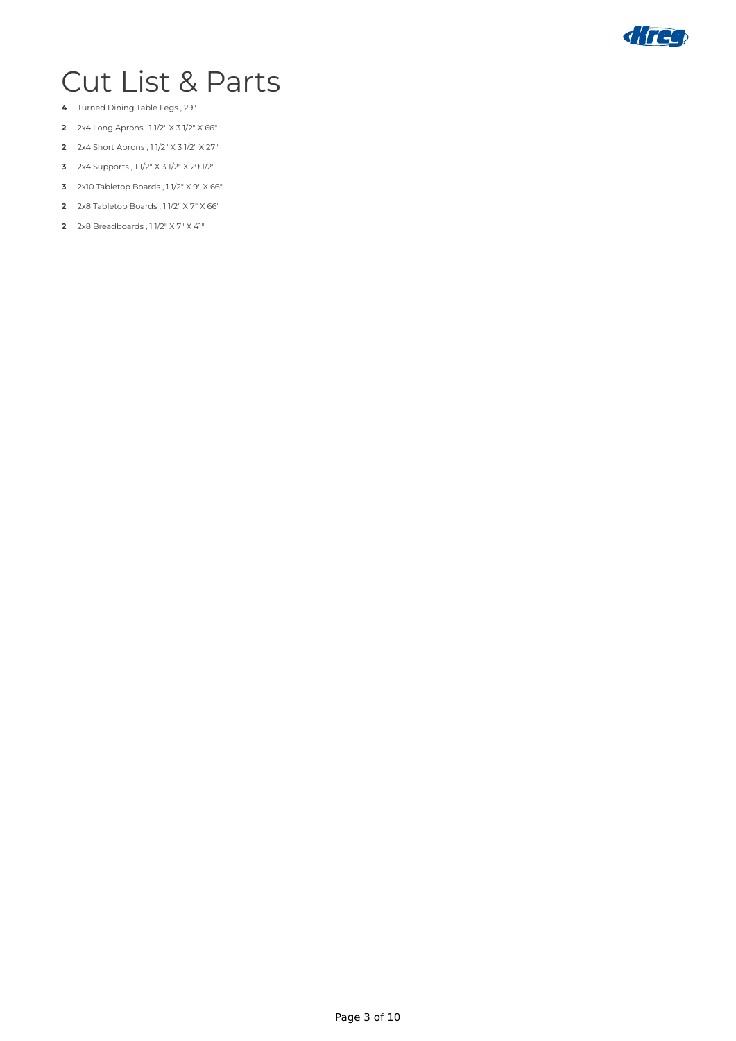

## Cut List & Parts

- Turned Dining Table Legs , 29"
- 2x4 Long Aprons , 1 1/2" X 3 1/2" X 66"
- 2x4 Short Aprons , 1 1/2" X 3 1/2" X 27"
- 2x4 Supports , 1 1/2" X 3 1/2" X 29 1/2"
- 2x10 Tabletop Boards , 1 1/2" X 9" X 66"
- 2x8 Tabletop Boards , 1 1/2" X 7" X 66"
- 2x8 Breadboards , 1 1/2" X 7" X 41"

Page 3 of 10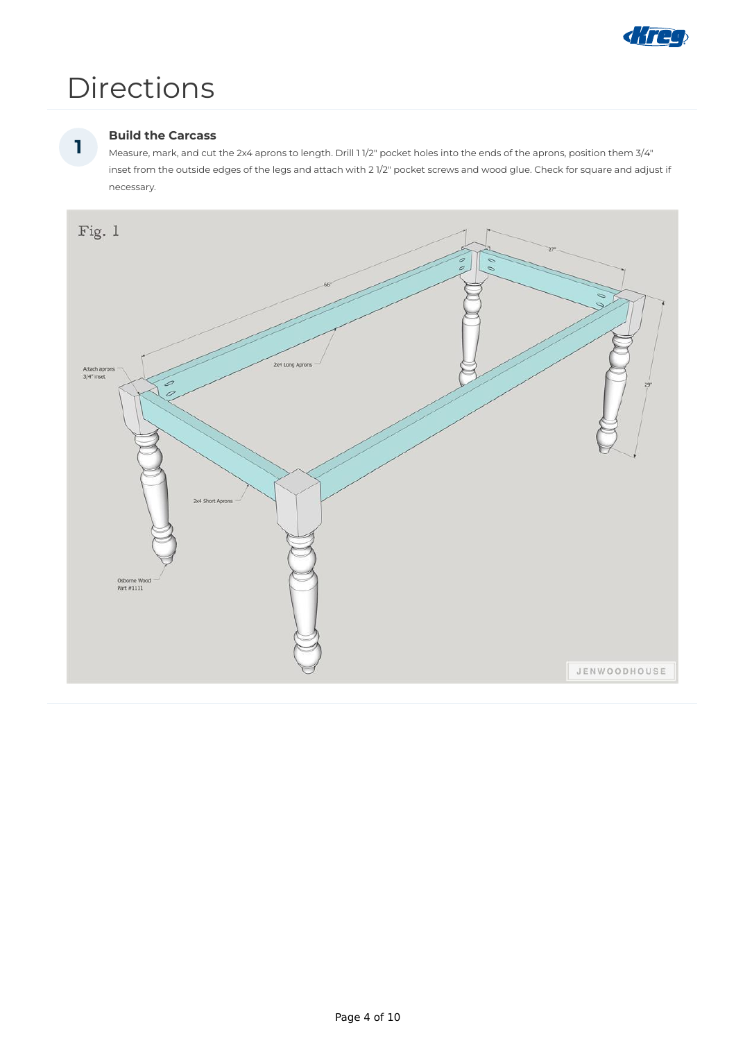

## Directions

### **Build the Carcass**

Measure, mark, and cut the 2x4 aprons to length. Drill 1 1/2" pocket holes into the ends of the aprons, position them 3/4" inset from the outside edges of the legs and attach with 2 1/2" pocket screws and wood glue. Check for square and adjust if necessary.



**1**

Page 4 of 10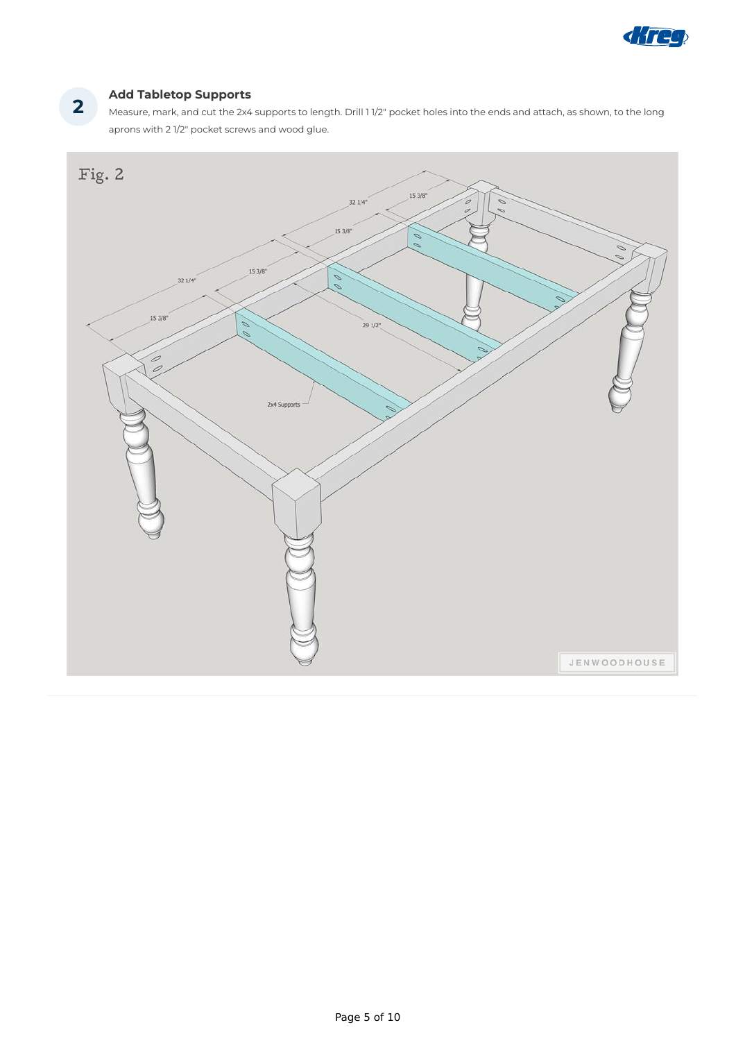

### **Add Tabletop Supports**

Measure, mark, and cut the 2x4 supports to length. Drill 1 1/2" pocket holes into the ends and attach, as shown, to the long aprons with 2 1/2" pocket screws and wood glue.



**2**

Page 5 of 10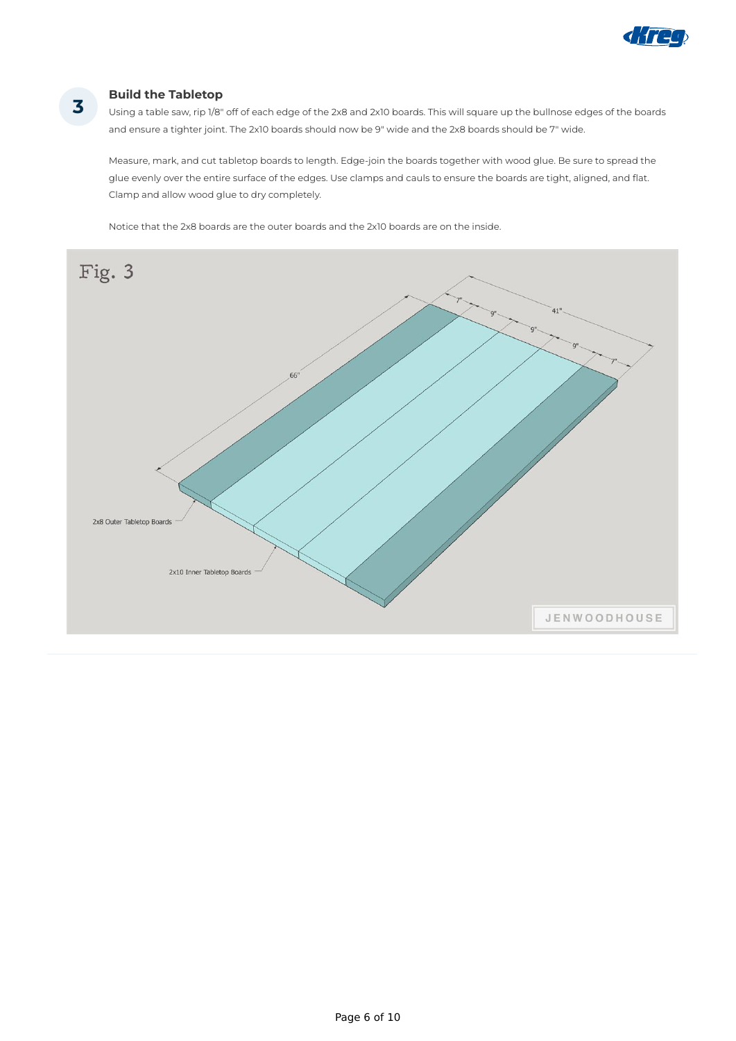

### **Build the Tabletop**

Using a table saw, rip 1/8" off of each edge of the 2x8 and 2x10 boards. This will square up the bullnose edges of the boards and ensure a tighter joint. The 2x10 boards should now be 9" wide and the 2x8 boards should be 7" wide.

Measure, mark, and cut tabletop boards to length. Edge-join the boards together with wood glue. Be sure to spread the glue evenly over the entire surface of the edges. Use clamps and cauls to ensure the boards are tight, aligned, and flat. Clamp and allow wood glue to dry completely.

Notice that the 2x8 boards are the outer boards and the 2x10 boards are on the inside.



**3**

Page 6 of 10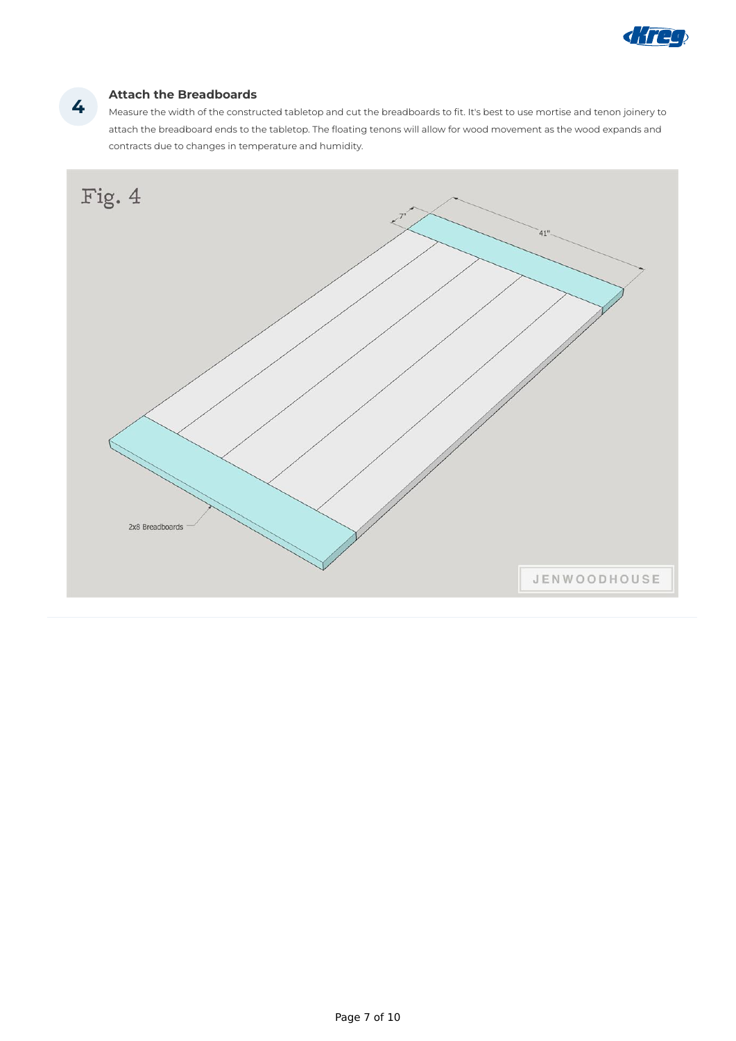

### **Attach the Breadboards**

Measure the width of the constructed tabletop and cut the breadboards to fit. It's best to use mortise and tenon joinery to attach the breadboard ends to the tabletop. The floating tenons will allow for wood movement as the wood expands and contracts due to changes in temperature and humidity.



**4**

Page 7 of 10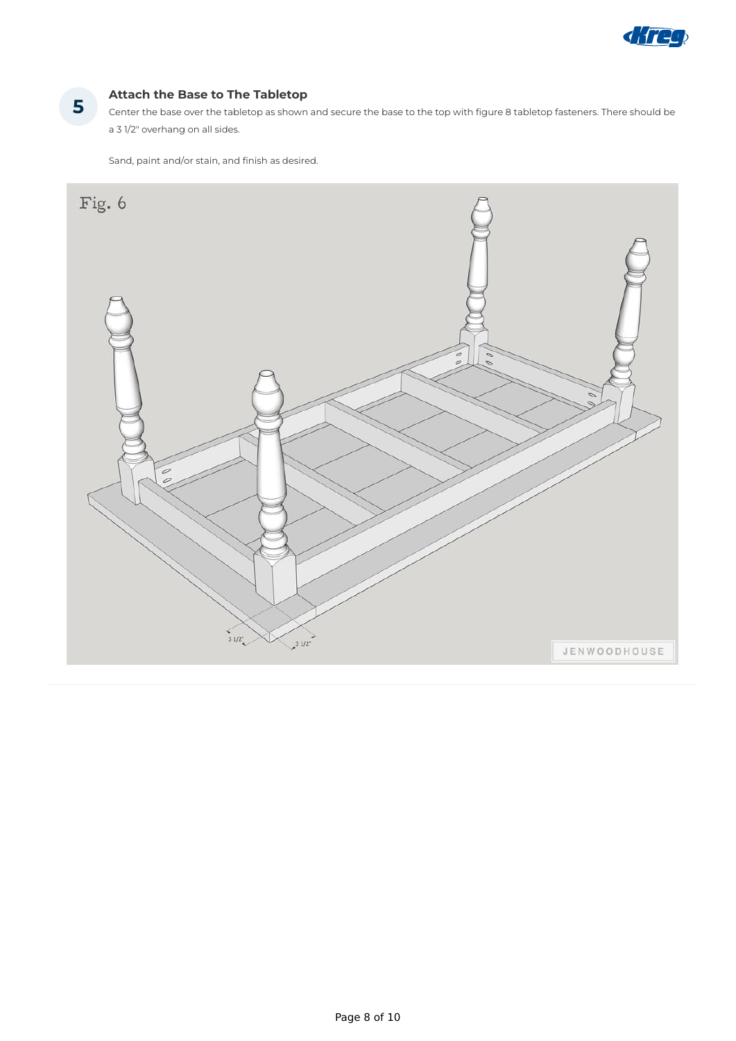

### **Attach the Base to The Tabletop**

Center the base over the tabletop as shown and secure the base to the top with figure 8 tabletop fasteners. There should be a 3 1/2" overhang on all sides.

Sand, paint and/or stain, and finish as desired.



**5**

Page 8 of 10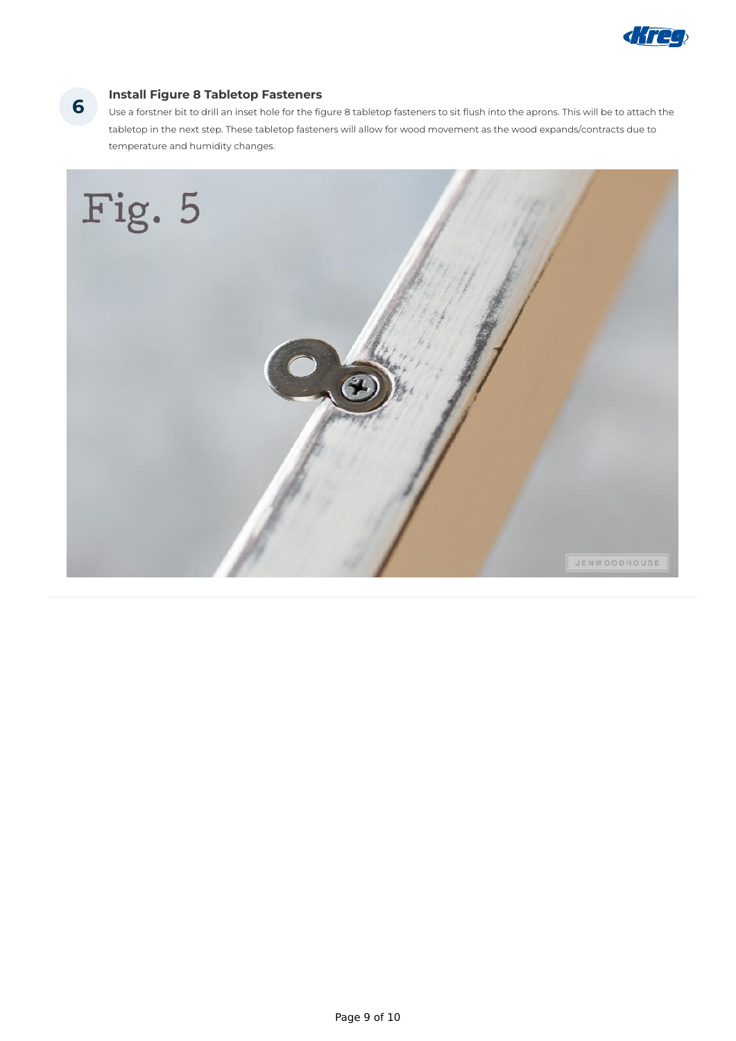

### **Install Figure 8 Tabletop Fasteners 6**

Use a forstner bit to drill an inset hole for the figure 8 tabletop fasteners to sit flush into the aprons. This will be to attach the tabletop in the next step. These tabletop fasteners will allow for wood movement as the wood expands/contracts due to temperature and humidity changes.



Page 9 of 10